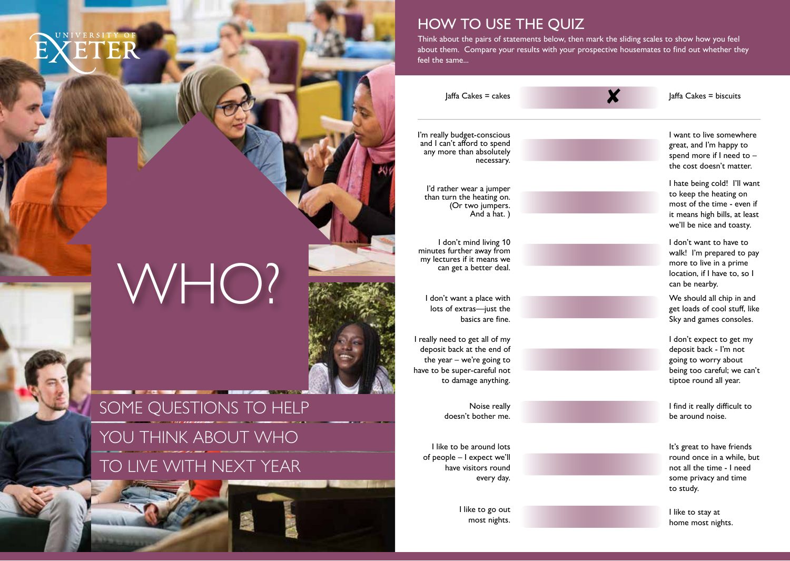# EXETER

HOW TO USE THE QUIZ

 $Jaffa$  Cakes = cakes  $Jaffa$  Cakes = biscuits

Think about the pairs of statements below, then mark the sliding scales to show how you feel about them. Compare your results with your prospective housemates to fnd out whether they

I'm really budget-conscious I'm really budget-conscious and I'm happy to live somewhere in the somewhere  $\frac{1}{2}$  and I can't afford to spend

feel the same...

I don't mind living 10 I don't want to have to

I really need to get all of my I don't expect to get my deposit back at the end of deposit back - I'm not the year – we're going to going to going to worry about have to be super-careful not being too careful; we can't

I like to go out

and I can't afford to spend<br>any more than absolutely spend great, and I'm happy to<br>necessary.<br>the cost doesn't matter.

I'd rather wear a jumper **I'd rather wear a jumper** I hate being cold! I'll want I'd rather wear a jumper to keep the heating on than turn the heating on than turn the heating on. (Or two jumpers.<br>
And a hat.) The second is the time of the time - even if the second is the time of the time - even if the second is the second in the second in the second in the second is the second in the second in the it means high bills, at least. we'll be nice and toasty.

minutes further away from walk! I'm prepared to pay my lectures if it means we more to live in a prime can get a better deal.<br>
can get a better deal. Coastion, if I have to, so I can be nearby.

I don't want a place with I don't want a place with We should all chip in and lots of extras—just the get loads of cool stuf, like **basics are fine.** Sky and games consoles.

to damage anything. the control of the control of the control of the control of the control of the control of the control of the control of the control of the control of the control of the control of the control of the con

Noise really **Ifind it really difficult to** doesn't bother me. be around noise.

I like to be around lots **It's great to have friends** of people – I expect we'll **round once in a while, but** round once in a while, but have visitors round **not all the time - I need** every day. The same privacy and time some privacy and time to study.

> most nights.<br>I like to stay at a like to stay at a like to stay at a like to stay at a like to stay at a like to stay at a home most nights.

## SOME QUESTIONS TO HELP

WHO?

## YOU THINK ABOUT WHO TO LIVE WITH NEXT YEAR